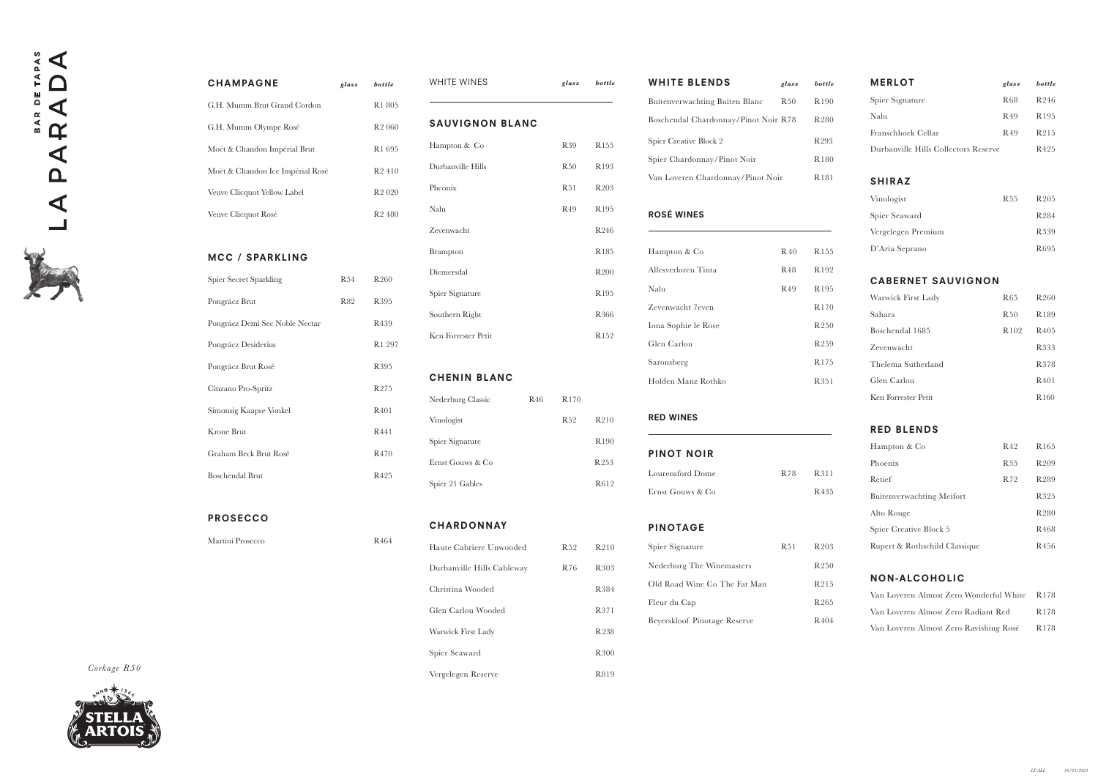| <b>WHITE BLENDS</b>                  | glass           | bottle           | <b>MERLOT</b><br>glass                         | bottle                   |
|--------------------------------------|-----------------|------------------|------------------------------------------------|--------------------------|
| Buitenverwachting Buiten Blanc       | R <sub>50</sub> | R190             | Spier Signature<br>R68                         | R246                     |
| Boschendal Chardonnay/Pinot Noir R78 |                 | R280             | R49<br>Nalu                                    | R <sub>195</sub>         |
| Spier Creative Block 2               |                 | R293             | Franschhoek Cellar<br>R <sub>49</sub>          | R215                     |
| Spier Chardonnay/Pinot Noir          |                 | R180             | Durbanville Hills Collectors Reserve           | R <sub>425</sub>         |
| Van Loveren Chardonnay/Pinot Noir    |                 | R181             | <b>SHIRAZ</b>                                  |                          |
|                                      |                 |                  | Vinologist<br><b>R55</b>                       | R <sub>205</sub>         |
| ROSÉ WINES                           |                 |                  | Spier Seaward                                  | R284                     |
|                                      |                 |                  | Vergelegen Premium                             | R339                     |
| Hampton & Co                         | R <sub>40</sub> | R <sub>155</sub> | D'Aria Seprano                                 | R695                     |
| Allesverloren Tinta                  | <b>R48</b>      | R192             |                                                |                          |
| Nalu                                 | R49             | R195             | <b>CABERNET SAUVIGNON</b>                      |                          |
| Zevenwacht 7even                     |                 | R170             | <b>R65</b><br>Warwick First Lady               | R <sub>260</sub>         |
|                                      |                 |                  | Sahara<br>R50                                  | R189                     |
| Iona Sophie le Rose                  |                 | R <sub>250</sub> | Boschendal 1685<br>R102                        | R <sub>405</sub>         |
| Glen Carlou                          |                 | R <sub>259</sub> | Zevenwacht                                     | R333                     |
| Saronsberg                           |                 | R <sub>175</sub> | Thelema Sutherland                             | R378                     |
| Holden Manz Rothko                   |                 | R351             | Glen Carlou                                    | R <sub>401</sub>         |
|                                      |                 |                  | Ken Forrester Petit                            | R160                     |
| <b>RED WINES</b>                     |                 |                  |                                                |                          |
|                                      |                 |                  | <b>RED BLENDS</b>                              |                          |
| PINOT NOIR                           |                 |                  | Hampton & Co<br>R42                            | R <sub>165</sub>         |
| Lourensford Dome                     | R78             | R311             | Phoenix<br><b>R55</b>                          | R <sub>209</sub>         |
| Ernst Gouws & Co                     |                 | R435             | Retief<br>R72                                  | R <sub>289</sub>         |
|                                      |                 |                  | <b>Buitenverwachting Meifort</b><br>Alto Rouge | R325<br>R <sub>280</sub> |
| PINOTAGE                             |                 |                  | Spier Creative Block 5                         | R <sub>468</sub>         |
| Spier Signature                      | R51             | R <sub>203</sub> | Rupert & Rothschild Classique                  | R456                     |
| Nederburg The Winemasters            |                 | R <sub>250</sub> |                                                |                          |
| Old Road Wine Co The Fat Man         |                 | R215             | NON-ALCOHOLIC                                  |                          |
|                                      |                 |                  | Van Loveren Almost Zero Wonderful White        | R <sub>178</sub>         |
| Fleur du Cap                         |                 | R <sub>265</sub> | Van Loveren Almost Zero Radiant Red            | R178                     |
| Beyerskloof Pinotage Reserve         |                 | R404             | Van Loveren Almost Zero Ravishing Rosé         | R <sub>178</sub>         |

*Corka ge R50* 





| <b>CHAMPAGNE</b>                 | glass | bottle             |
|----------------------------------|-------|--------------------|
| G.H. Mumm Brut Grand Cordon      |       | R <sub>1</sub> 805 |
| G.H. Mumm Olympe Rosé            |       | R <sub>2</sub> 060 |
| Moët & Chandon Impérial Brut     |       | R <sub>1</sub> 695 |
| Moët & Chandon Ice Impérial Rosé |       | R <sub>2</sub> 410 |
| Veuve Clicquot Yellow Label      |       | R <sub>2</sub> 020 |
| Veuve Clicquot Rosé              |       | R <sub>2</sub> 480 |
|                                  |       |                    |

## MCC / SPARKLING

| Spier Secret Sparkling         | R54 | R <sub>260</sub> |
|--------------------------------|-----|------------------|
| Pongrácz Brut                  | R82 | R <sub>395</sub> |
| Pongrácz Demi Sec Noble Nectar |     | R <sub>439</sub> |
| Pongrácz Desiderius            |     | R1 297           |
| Pongrácz Brut Rosé             |     | R <sub>395</sub> |
| Cinzano Pro-Spritz             |     | R <sub>275</sub> |
| Simonsig Kaapse Vonkel         |     | R <sub>401</sub> |
| Krone Brut                     |     | R441             |
| Graham Beck Brut Rosé          |     | R <sub>470</sub> |
| <b>Boschendal Brut</b>         |     | R <sub>425</sub> |

PROSECCO

Martini Prosecco R464

| WHITE WINES            | glass | bottle           |
|------------------------|-------|------------------|
| <b>SAUVIGNON BLANC</b> |       |                  |
| Hampton & Co           | R39   | R <sub>155</sub> |
| Durbanville Hills      | R50   | R <sub>193</sub> |
| Pheonix                | R51   | R <sub>203</sub> |
| Nalu                   | R49   | R <sub>195</sub> |
| Zevenwacht             |       | R <sub>246</sub> |
| <b>Brampton</b>        |       | R <sub>185</sub> |
| Diemersdal             |       | R <sub>200</sub> |
| Spier Signature        |       | R195             |
| Southern Right         |       | R366             |
| Ken Forrester Petit    |       | R152             |

# CHENIN BLANC

| Nederburg Classic | R <sub>46</sub> | R <sub>170</sub> |                   |
|-------------------|-----------------|------------------|-------------------|
| Vinologist        |                 | R <sub>52</sub>  | R <sub>2</sub> 10 |
| Spier Signature   |                 |                  | R <sub>190</sub>  |
| Ernst Gouws & Co  |                 |                  | R <sub>253</sub>  |
| Spier 21 Gables   |                 |                  | R612              |

## **CHARDONNAY**

| Haute Cabriere Unwooded    | R <sub>52</sub> | R <sub>2</sub> 10 |
|----------------------------|-----------------|-------------------|
| Durbanville Hills Cableway | R 76            | R303              |
| Christina Wooded           |                 | R384              |
| Glen Carlou Wooded         |                 | R371              |
| Warwick First Lady         |                 | R 238             |
| Spier Seaward              |                 | R <sub>300</sub>  |
| Vergelegen Reserve         |                 | R819              |

| <b>WHITE BLENDS</b>                  | glass           | bottle           | <b>MERLOT</b>                           | glass            | bottle           |
|--------------------------------------|-----------------|------------------|-----------------------------------------|------------------|------------------|
| Buitenverwachting Buiten Blanc       | R50             | R190             | Spier Signature                         | R <sub>68</sub>  | R246             |
| Boschendal Chardonnay/Pinot Noir R78 |                 | R280             | Nalu                                    | R49              | R195             |
| Spier Creative Block 2               |                 | R <sub>293</sub> | Franschhoek Cellar                      | R <sub>49</sub>  | R215             |
| Spier Chardonnay/Pinot Noir          |                 | R180             | Durbanville Hills Collectors Reserve    |                  | R425             |
| Van Loveren Chardonnay/Pinot Noir    |                 | R181             | <b>SHIRAZ</b>                           |                  |                  |
|                                      |                 |                  | Vinologist                              | <b>R55</b>       | R205             |
| <b>ROSÉ WINES</b>                    |                 |                  | Spier Seaward                           |                  | R284             |
|                                      |                 |                  | Vergelegen Premium                      |                  | R339             |
| Hampton & Co                         | R <sub>40</sub> | R <sub>155</sub> | D'Aria Seprano                          |                  | R695             |
| Allesverloren Tinta                  | R <sub>48</sub> | R192             |                                         |                  |                  |
| Nalu                                 | R49             | R195             | <b>CABERNET SAUVIGNON</b>               |                  |                  |
| Zevenwacht 7even                     |                 | R170             | Warwick First Lady                      | <b>R65</b>       | R260             |
| Iona Sophie le Rose                  |                 | R <sub>250</sub> | Sahara                                  | R50              | R189             |
| Glen Carlou                          |                 | R <sub>259</sub> | Boschendal 1685                         | R <sub>102</sub> | R <sub>405</sub> |
|                                      |                 | R175             | Zevenwacht                              |                  | R333             |
| Saronsberg                           |                 |                  | Thelema Sutherland                      |                  | R378             |
| Holden Manz Rothko                   |                 | R351             | Glen Carlou                             |                  | R401             |
|                                      |                 |                  | Ken Forrester Petit                     |                  | R <sub>160</sub> |
| <b>RED WINES</b>                     |                 |                  | <b>RED BLENDS</b>                       |                  |                  |
|                                      |                 |                  | Hampton & Co                            | R42              | R <sub>165</sub> |
| <b>PINOT NOIR</b>                    |                 |                  | Phoenix                                 | R <sub>55</sub>  | R <sub>209</sub> |
| Lourensford Dome                     | R78             | R311             | Retief                                  | R72              | R289             |
| Ernst Gouws & Co                     |                 | R435             | <b>Buitenverwachting Meifort</b>        |                  | R325             |
|                                      |                 |                  | Alto Rouge                              |                  | R280             |
| <b>PINOTAGE</b>                      |                 |                  | Spier Creative Block 5                  |                  | R <sub>468</sub> |
| Spier Signature                      | R51             | R <sub>203</sub> | Rupert & Rothschild Classique           |                  | R <sub>456</sub> |
| Nederburg The Winemasters            |                 | R250             |                                         |                  |                  |
| Old Road Wine Co The Fat Man         |                 | R215             | <b>NON-ALCOHOLIC</b>                    |                  |                  |
| Fleur du Cap                         |                 | R265             | Van Loveren Almost Zero Wonderful White |                  | R178             |
| Beyerskloof Pinotage Reserve         |                 | R404             | Van Loveren Almost Zero Radiant Red     |                  | R178             |
|                                      |                 |                  | Van Loveren Almost Zero Ravishing Rosé  |                  | R178             |

| <b>WHITE BLENDS</b>                  | glass           | bottle           | <b>MERLOT</b>                           | glass            | bottle                   |
|--------------------------------------|-----------------|------------------|-----------------------------------------|------------------|--------------------------|
| Buitenverwachting Buiten Blanc       | R50             | R190             | Spier Signature                         | <b>R68</b>       | R246                     |
| Boschendal Chardonnay/Pinot Noir R78 |                 | R280             | Nalu                                    | R49              | R195                     |
| Spier Creative Block 2               |                 | R <sub>293</sub> | Franschhoek Cellar                      | R <sub>49</sub>  | R215                     |
| Spier Chardonnay/Pinot Noir          |                 | R180             | Durbanville Hills Collectors Reserve    |                  | R <sub>425</sub>         |
| Van Loveren Chardonnay/Pinot Noir    |                 | R181             | <b>SHIRAZ</b>                           |                  |                          |
|                                      |                 |                  | Vinologist                              | <b>R55</b>       | R <sub>205</sub>         |
| <b>ROSÉ WINES</b>                    |                 |                  | Spier Seaward                           |                  | R284                     |
|                                      |                 |                  | Vergelegen Premium                      |                  | R339                     |
| Hampton & Co                         | <b>R</b> 40     | R <sub>155</sub> | D'Aria Seprano                          |                  | R <sub>695</sub>         |
| Allesverloren Tinta                  | R <sub>48</sub> | R192             |                                         |                  |                          |
| Nalu                                 | R49             | R195             | <b>CABERNET SAUVIGNON</b>               |                  |                          |
| Zevenwacht 7even                     |                 | R170             | Warwick First Lady                      | <b>R65</b>       | R <sub>260</sub>         |
| Iona Sophie le Rose                  |                 | R <sub>250</sub> | Sahara                                  | R50              | R189                     |
| Glen Carlou                          |                 | R <sub>259</sub> | Boschendal 1685                         | R <sub>102</sub> | R <sub>405</sub>         |
| Saronsberg                           |                 | R175             | Zevenwacht                              |                  | R333                     |
|                                      |                 |                  | Thelema Sutherland<br>Glen Carlou       |                  | R378                     |
| Holden Manz Rothko                   |                 | R351             | Ken Forrester Petit                     |                  | R401<br>R <sub>160</sub> |
|                                      |                 |                  |                                         |                  |                          |
| <b>RED WINES</b>                     |                 |                  | <b>RED BLENDS</b>                       |                  |                          |
| <b>PINOT NOIR</b>                    |                 |                  | Hampton & Co                            | R <sub>42</sub>  | R <sub>165</sub>         |
|                                      |                 |                  | Phoenix                                 | <b>R55</b>       | R <sub>209</sub>         |
| Lourensford Dome                     | R78             | R311             | Retief                                  | R72              | R289                     |
| Ernst Gouws & Co                     |                 | R435             | <b>Buitenverwachting Meifort</b>        |                  | R325                     |
|                                      |                 |                  | Alto Rouge                              |                  | R <sub>280</sub>         |
| <b>PINOTAGE</b>                      |                 |                  | Spier Creative Block 5                  |                  | R <sub>468</sub>         |
| Spier Signature                      | R51             | R <sub>203</sub> | Rupert & Rothschild Classique           |                  | R456                     |
| Nederburg The Winemasters            |                 | R <sub>250</sub> |                                         |                  |                          |
| Old Road Wine Co The Fat Man         |                 | R215             | <b>NON-ALCOHOLIC</b>                    |                  |                          |
| Fleur du Cap                         |                 | R <sub>265</sub> | Van Loveren Almost Zero Wonderful White |                  | R178                     |
| Beyerskloof Pinotage Reserve         |                 | R404             | Van Loveren Almost Zero Radiant Red     |                  | R178                     |
|                                      |                 |                  | Van Loveren Almost Zero Ravishing Rosé  |                  | R178                     |

| <b>WHITE BLENDS</b>                  | glass           | bottle           | <b>MERLOT</b>                           | glass            | bottle                   |
|--------------------------------------|-----------------|------------------|-----------------------------------------|------------------|--------------------------|
| Buitenverwachting Buiten Blanc       | R50             | R190             | Spier Signature                         | R <sub>68</sub>  | R246                     |
| Boschendal Chardonnay/Pinot Noir R78 |                 | R280             | Nalu                                    | R49              | R195                     |
| Spier Creative Block 2               |                 | R293             | Franschhoek Cellar                      | R <sub>49</sub>  | R215                     |
| Spier Chardonnay/Pinot Noir          |                 | R180             | Durbanville Hills Collectors Reserve    |                  | R425                     |
| Van Loveren Chardonnay/Pinot Noir    |                 | R181             | <b>SHIRAZ</b>                           |                  |                          |
|                                      |                 |                  | Vinologist                              | <b>R55</b>       | R205                     |
| <b>ROSÉ WINES</b>                    |                 |                  | Spier Seaward                           |                  | R284                     |
|                                      |                 |                  | Vergelegen Premium                      |                  | R339                     |
| Hampton & Co                         | <b>R</b> 40     | R155             | D'Aria Seprano                          |                  | R <sub>695</sub>         |
| Allesverloren Tinta                  | R <sub>48</sub> | R192             |                                         |                  |                          |
| Nalu                                 | R49             | R195             | <b>CABERNET SAUVIGNON</b>               |                  |                          |
| Zevenwacht 7even                     |                 | R170             | Warwick First Lady                      | <b>R65</b>       | R <sub>260</sub>         |
| Iona Sophie le Rose                  |                 | R <sub>250</sub> | Sahara                                  | R50              | R189                     |
| Glen Carlou                          |                 | R259             | Boschendal 1685                         | R <sub>102</sub> | R <sub>405</sub>         |
| Saronsberg                           |                 | R175             | Zevenwacht                              |                  | R333                     |
|                                      |                 |                  | Thelema Sutherland                      |                  | R378                     |
| Holden Manz Rothko                   |                 | R351             | Glen Carlou<br>Ken Forrester Petit      |                  | R401<br>R <sub>160</sub> |
|                                      |                 |                  |                                         |                  |                          |
| <b>RED WINES</b>                     |                 |                  | <b>RED BLENDS</b>                       |                  |                          |
| <b>PINOT NOIR</b>                    |                 |                  | Hampton & Co                            | R <sub>42</sub>  | R <sub>165</sub>         |
|                                      |                 |                  | Phoenix                                 | <b>R55</b>       | R <sub>209</sub>         |
| Lourensford Dome                     | R78             | R311             | Retief                                  | R72              | R289                     |
| Ernst Gouws & Co                     |                 | R435             | <b>Buitenverwachting Meifort</b>        |                  | R325                     |
|                                      |                 |                  | Alto Rouge                              |                  | R <sub>280</sub>         |
| <b>PINOTAGE</b>                      |                 |                  | Spier Creative Block 5                  |                  | R <sub>468</sub>         |
| Spier Signature                      | R51             | R <sub>203</sub> | Rupert & Rothschild Classique           |                  | R456                     |
| Nederburg The Winemasters            |                 | R <sub>250</sub> |                                         |                  |                          |
| Old Road Wine Co The Fat Man         |                 | R215             | <b>NON-ALCOHOLIC</b>                    |                  |                          |
| Fleur du Cap                         |                 | R <sub>265</sub> | Van Loveren Almost Zero Wonderful White |                  | R178                     |
| Beyerskloof Pinotage Reserve         |                 | R404             | Van Loveren Almost Zero Radiant Red     |                  | R178                     |
|                                      |                 |                  | Van Loveren Almost Zero Ravishing Rosé  |                  | R178                     |